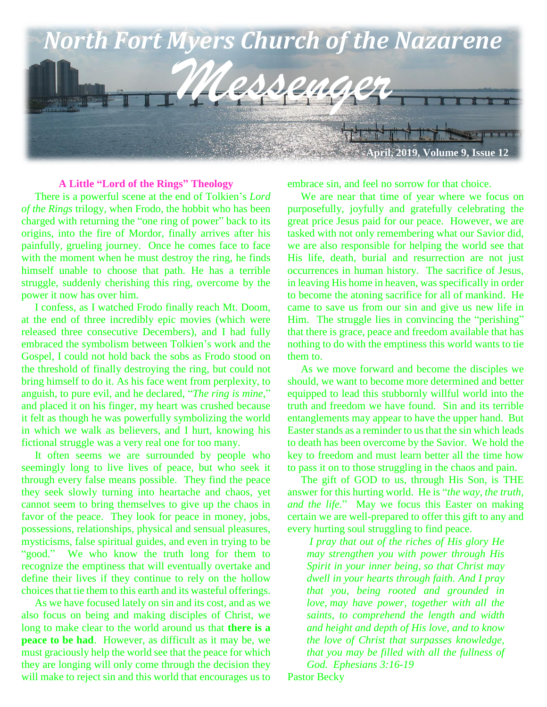

#### **A Little "Lord of the Rings" Theology**

 There is a powerful scene at the end of Tolkien's *Lord of the Rings* trilogy, when Frodo, the hobbit who has been charged with returning the "one ring of power" back to its origins, into the fire of Mordor, finally arrives after his painfully, grueling journey. Once he comes face to face with the moment when he must destroy the ring, he finds himself unable to choose that path. He has a terrible struggle, suddenly cherishing this ring, overcome by the power it now has over him.

 I confess, as I watched Frodo finally reach Mt. Doom, at the end of three incredibly epic movies (which were released three consecutive Decembers), and I had fully embraced the symbolism between Tolkien's work and the Gospel, I could not hold back the sobs as Frodo stood on the threshold of finally destroying the ring, but could not bring himself to do it. As his face went from perplexity, to anguish, to pure evil, and he declared, "*The ring is mine*," and placed it on his finger, my heart was crushed because it felt as though he was powerfully symbolizing the world in which we walk as believers, and I hurt, knowing his fictional struggle was a very real one for too many.

 It often seems we are surrounded by people who seemingly long to live lives of peace, but who seek it through every false means possible. They find the peace they seek slowly turning into heartache and chaos, yet cannot seem to bring themselves to give up the chaos in favor of the peace. They look for peace in money, jobs, possessions, relationships, physical and sensual pleasures, mysticisms, false spiritual guides, and even in trying to be "good." We who know the truth long for them to recognize the emptiness that will eventually overtake and define their lives if they continue to rely on the hollow choices that tie them to this earth and its wasteful offerings.

 As we have focused lately on sin and its cost, and as we also focus on being and making disciples of Christ, we long to make clear to the world around us that **there is a peace to be had**. However, as difficult as it may be, we must graciously help the world see that the peace for which they are longing will only come through the decision they will make to reject sin and this world that encourages us to

embrace sin, and feel no sorrow for that choice.

 We are near that time of year where we focus on purposefully, joyfully and gratefully celebrating the great price Jesus paid for our peace. However, we are tasked with not only remembering what our Savior did, we are also responsible for helping the world see that His life, death, burial and resurrection are not just occurrences in human history. The sacrifice of Jesus, in leaving His home in heaven, was specifically in order to become the atoning sacrifice for all of mankind. He came to save us from our sin and give us new life in Him. The struggle lies in convincing the "perishing" that there is grace, peace and freedom available that has nothing to do with the emptiness this world wants to tie them to.

 As we move forward and become the disciples we should, we want to become more determined and better equipped to lead this stubbornly willful world into the truth and freedom we have found. Sin and its terrible entanglements may appear to have the upper hand. But Easter stands as a reminder to us that the sin which leads to death has been overcome by the Savior. We hold the key to freedom and must learn better all the time how to pass it on to those struggling in the chaos and pain.

 The gift of GOD to us, through His Son, is THE answer for this hurting world. He is "*the way, the truth, and the life.*" May we focus this Easter on making certain we are well-prepared to offer this gift to any and every hurting soul struggling to find peace.

*I pray that out of the riches of His glory He may strengthen you with power through His Spirit in your inner being, so that Christ may dwell in your hearts through faith. And I pray that you, being rooted and grounded in love, may have power, together with all the saints, to comprehend the length and width and height and depth of His love, and to know the love of Christ that surpasses knowledge, that you may be filled with all the fullness of God. Ephesians 3:16-19*

Pastor Becky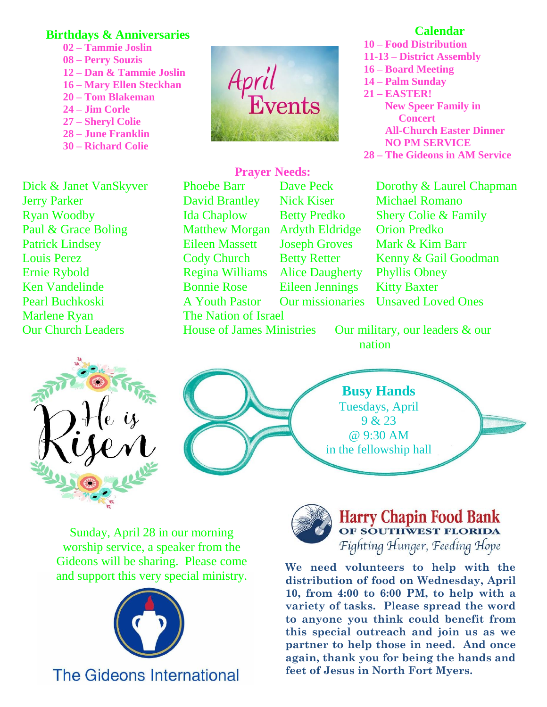# **Birthdays & Anniversaries**

- **02 – Tammie Joslin 08 – Perry Souzis 12 – Dan & Tammie Joslin 16 – Mary Ellen Steckhan 20 – Tom Blakeman 24 – Jim Corle 27 – Sheryl Colie 28 – June Franklin**
- **30 – Richard Colie**

Paul & Grace Boling Matthew Morgan Ardyth Eldridge Orion Predko Marlene Ryan The Nation of Israel **Ernie Rybold Ken Vandelinde Pearl Buchkoski** 



**Prayer Needs:**

# **Calendar**

**10 – Food Distribution 11-13 – District Assembly 16 – Board Meeting 14 – Palm Sunday 21 – EASTER! New Speer Family in Concert All-Church Easter Dinner NO PM SERVICE 28 – The Gideons in AM Service**

Dick & Janet VanSkyver Phoebe Barr Dave Peck Dorothy & Laurel Chapman Jerry Parker David Brantley Nick Kiser Michael Romano Ryan Woodby Ida Chaplow Betty Predko Shery Colie & Family Patrick Lindsey Eileen Massett Joseph Groves Mark & Kim Barr Louis Perez Cody Church Betty Retter Kenny & Gail Goodman Regina Williams Alice Daugherty Phyllis Obney

Bonnie Rose Eileen Jennings Kitty Baxter A Youth Pastor Our missionaries Unsaved Loved Ones

Our Church Leaders House of James Ministries Our military, our leaders & our nation



**Busy Hands** Tuesdays, April 9 & 23 @ 9:30 AM in the fellowship hall

Sunday, April 28 in our morning worship service, a speaker from the Gideons will be sharing. Please come and support this very special ministry.



# **The Gideons International**



Harry Chapin Food Bank<br>OF SOUTHWEST FLORIDA Fighting Hunger, Feeding Hope

**We need volunteers to help with the distribution of food on Wednesday, April 10, from 4:00 to 6:00 PM, to help with a variety of tasks. Please spread the word to anyone you think could benefit from this special outreach and join us as we partner to help those in need. And once again, thank you for being the hands and feet of Jesus in North Fort Myers.**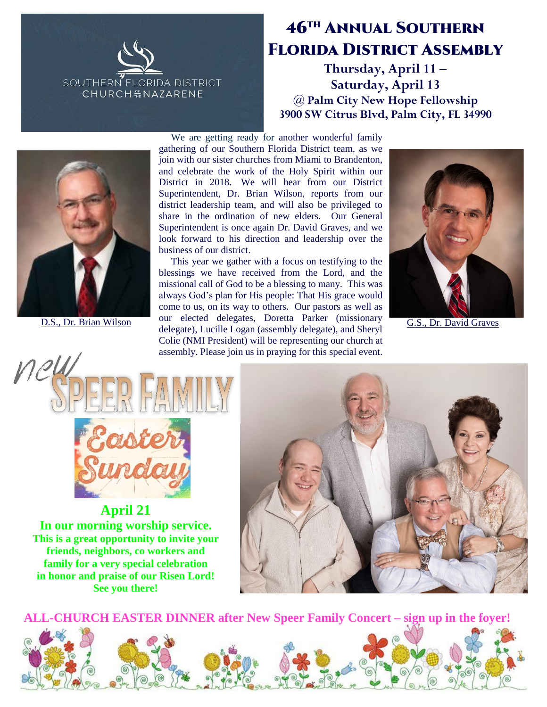

# 46th Annual Southern Florida District Assembly

**Thursday, April 11 – Saturday, April 13 @ Palm City New Hope Fellowship 3900 SW Citrus Blvd, Palm City, FL 34990**



 We are getting ready for another wonderful family gathering of our Southern Florida District team, as we join with our sister churches from Miami to Brandenton, and celebrate the work of the Holy Spirit within our District in 2018. We will hear from our District Superintendent, Dr. Brian Wilson, reports from our district leadership team, and will also be privileged to share in the ordination of new elders. Our General Superintendent is once again Dr. David Graves, and we look forward to his direction and leadership over the business of our district.

 This year we gather with a focus on testifying to the blessings we have received from the Lord, and the missional call of God to be a blessing to many. This was always God's plan for His people: That His grace would come to us, on its way to others. Our pastors as well as D.S., Dr. Brian Wilson our elected delegates, Doretta Parker (missionary G.S., Dr. David Graves delegate), Lucille Logan (assembly delegate), and Sheryl Colie (NMI President) will be representing our church at assembly. Please join us in praying for this special event.





**April 21 In our morning worship service. This is a great opportunity to invite your friends, neighbors, co workers and family for a very special celebration in honor and praise of our Risen Lord! See you there!**



**ALL-CHURCH EASTER DINNER after New Speer Family Concert – sign up in the foyer!**